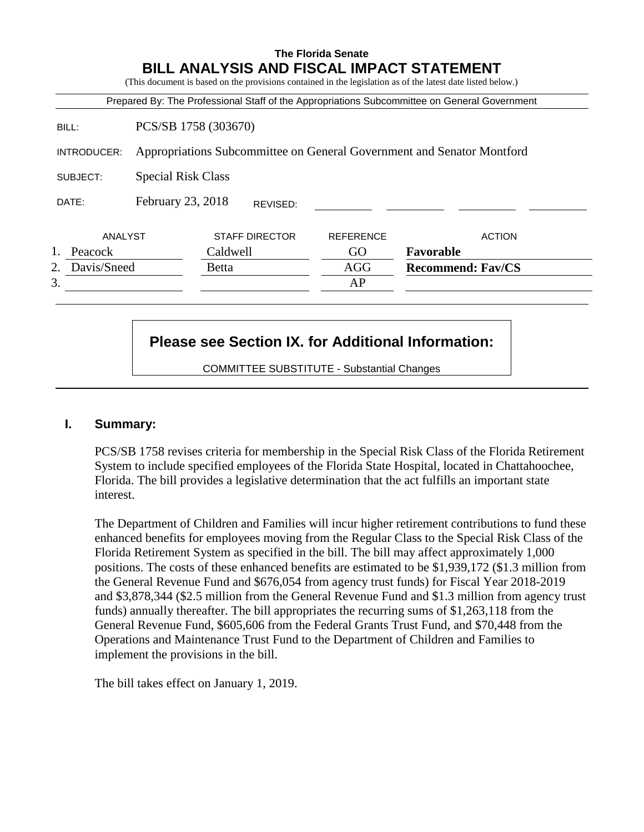#### **The Florida Senate BILL ANALYSIS AND FISCAL IMPACT STATEMENT**

(This document is based on the provisions contained in the legislation as of the latest date listed below.)

|                   |                           |                       |                  | Prepared By: The Professional Staff of the Appropriations Subcommittee on General Government |
|-------------------|---------------------------|-----------------------|------------------|----------------------------------------------------------------------------------------------|
| BILL:             |                           | PCS/SB 1758 (303670)  |                  |                                                                                              |
| INTRODUCER:       |                           |                       |                  | Appropriations Subcommittee on General Government and Senator Montford                       |
| SUBJECT:          | <b>Special Risk Class</b> |                       |                  |                                                                                              |
| DATE:             | February 23, 2018         | REVISED:              |                  |                                                                                              |
| ANALYST           |                           | <b>STAFF DIRECTOR</b> | <b>REFERENCE</b> | <b>ACTION</b>                                                                                |
| Peacock           |                           | Caldwell              | GO               | Favorable                                                                                    |
| Davis/Sneed<br>2. |                           | <b>Betta</b>          | <b>AGG</b>       | <b>Recommend: Fav/CS</b>                                                                     |
| 3.                |                           |                       | AP               |                                                                                              |

# **Please see Section IX. for Additional Information:**

COMMITTEE SUBSTITUTE - Substantial Changes

#### **I. Summary:**

PCS/SB 1758 revises criteria for membership in the Special Risk Class of the Florida Retirement System to include specified employees of the Florida State Hospital, located in Chattahoochee, Florida. The bill provides a legislative determination that the act fulfills an important state interest.

The Department of Children and Families will incur higher retirement contributions to fund these enhanced benefits for employees moving from the Regular Class to the Special Risk Class of the Florida Retirement System as specified in the bill. The bill may affect approximately 1,000 positions. The costs of these enhanced benefits are estimated to be \$1,939,172 (\$1.3 million from the General Revenue Fund and \$676,054 from agency trust funds) for Fiscal Year 2018-2019 and \$3,878,344 (\$2.5 million from the General Revenue Fund and \$1.3 million from agency trust funds) annually thereafter. The bill appropriates the recurring sums of \$1,263,118 from the General Revenue Fund, \$605,606 from the Federal Grants Trust Fund, and \$70,448 from the Operations and Maintenance Trust Fund to the Department of Children and Families to implement the provisions in the bill.

The bill takes effect on January 1, 2019.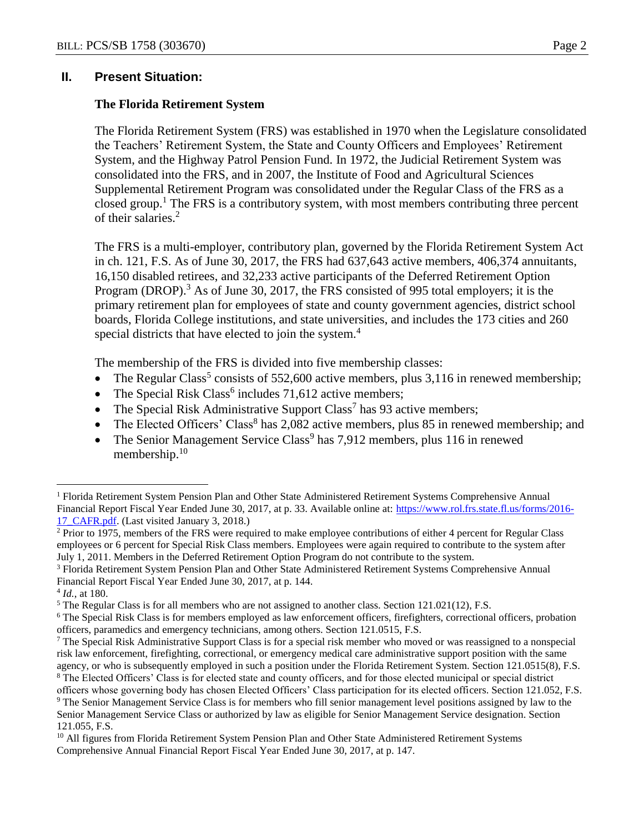#### **II. Present Situation:**

#### **The Florida Retirement System**

The Florida Retirement System (FRS) was established in 1970 when the Legislature consolidated the Teachers' Retirement System, the State and County Officers and Employees' Retirement System, and the Highway Patrol Pension Fund. In 1972, the Judicial Retirement System was consolidated into the FRS, and in 2007, the Institute of Food and Agricultural Sciences Supplemental Retirement Program was consolidated under the Regular Class of the FRS as a closed group.<sup>1</sup> The FRS is a contributory system, with most members contributing three percent of their salaries.<sup>2</sup>

The FRS is a multi-employer, contributory plan, governed by the Florida Retirement System Act in ch. 121, F.S. As of June 30, 2017, the FRS had 637,643 active members, 406,374 annuitants, 16,150 disabled retirees, and 32,233 active participants of the Deferred Retirement Option Program (DROP).<sup>3</sup> As of June 30, 2017, the FRS consisted of 995 total employers; it is the primary retirement plan for employees of state and county government agencies, district school boards, Florida College institutions, and state universities, and includes the 173 cities and 260 special districts that have elected to join the system.<sup>4</sup>

The membership of the FRS is divided into five membership classes:

- The Regular Class<sup>5</sup> consists of 552,600 active members, plus 3,116 in renewed membership;
- The Special Risk Class<sup>6</sup> includes  $71,612$  active members;
- The Special Risk Administrative Support Class<sup>7</sup> has 93 active members;
- The Elected Officers' Class<sup>8</sup> has 2,082 active members, plus 85 in renewed membership; and
- The Senior Management Service Class<sup>9</sup> has  $7,912$  members, plus 116 in renewed membership.<sup>10</sup>

<sup>1</sup> Florida Retirement System Pension Plan and Other State Administered Retirement Systems Comprehensive Annual Financial Report Fiscal Year Ended June 30, 2017, at p. 33. Available online at: [https://www.rol.frs.state.fl.us/forms/2016-](https://www.rol.frs.state.fl.us/forms/2016-17_CAFR.pdf) [17\\_CAFR.pdf.](https://www.rol.frs.state.fl.us/forms/2016-17_CAFR.pdf) (Last visited January 3, 2018.)

<sup>&</sup>lt;sup>2</sup> Prior to 1975, members of the FRS were required to make employee contributions of either 4 percent for Regular Class employees or 6 percent for Special Risk Class members. Employees were again required to contribute to the system after July 1, 2011. Members in the Deferred Retirement Option Program do not contribute to the system.

<sup>3</sup> Florida Retirement System Pension Plan and Other State Administered Retirement Systems Comprehensive Annual Financial Report Fiscal Year Ended June 30, 2017, at p. 144.

<sup>4</sup> *Id.*, at 180.

<sup>5</sup> The Regular Class is for all members who are not assigned to another class. Section 121.021(12), F.S.

<sup>&</sup>lt;sup>6</sup> The Special Risk Class is for members employed as law enforcement officers, firefighters, correctional officers, probation officers, paramedics and emergency technicians, among others. Section 121.0515, F.S.

<sup>7</sup> The Special Risk Administrative Support Class is for a special risk member who moved or was reassigned to a nonspecial risk law enforcement, firefighting, correctional, or emergency medical care administrative support position with the same agency, or who is subsequently employed in such a position under the Florida Retirement System. Section 121.0515(8), F.S.

<sup>&</sup>lt;sup>8</sup> The Elected Officers' Class is for elected state and county officers, and for those elected municipal or special district officers whose governing body has chosen Elected Officers' Class participation for its elected officers. Section 121.052, F.S.

<sup>9</sup> The Senior Management Service Class is for members who fill senior management level positions assigned by law to the Senior Management Service Class or authorized by law as eligible for Senior Management Service designation. Section 121.055, F.S.

<sup>&</sup>lt;sup>10</sup> All figures from Florida Retirement System Pension Plan and Other State Administered Retirement Systems Comprehensive Annual Financial Report Fiscal Year Ended June 30, 2017, at p. 147.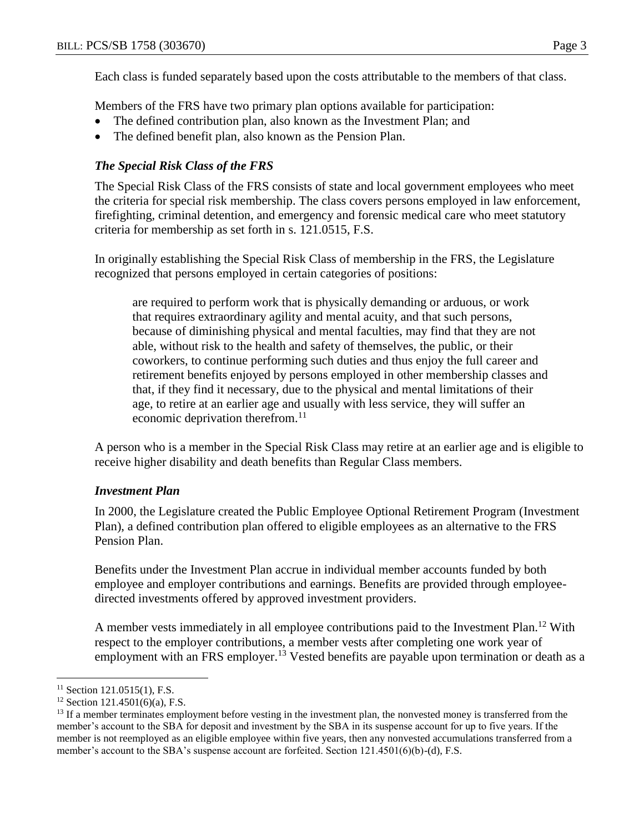Each class is funded separately based upon the costs attributable to the members of that class.

Members of the FRS have two primary plan options available for participation:

- The defined contribution plan, also known as the Investment Plan; and
- The defined benefit plan, also known as the Pension Plan.

# *The Special Risk Class of the FRS*

The Special Risk Class of the FRS consists of state and local government employees who meet the criteria for special risk membership. The class covers persons employed in law enforcement, firefighting, criminal detention, and emergency and forensic medical care who meet statutory criteria for membership as set forth in s. 121.0515, F.S.

In originally establishing the Special Risk Class of membership in the FRS, the Legislature recognized that persons employed in certain categories of positions:

are required to perform work that is physically demanding or arduous, or work that requires extraordinary agility and mental acuity, and that such persons, because of diminishing physical and mental faculties, may find that they are not able, without risk to the health and safety of themselves, the public, or their coworkers, to continue performing such duties and thus enjoy the full career and retirement benefits enjoyed by persons employed in other membership classes and that, if they find it necessary, due to the physical and mental limitations of their age, to retire at an earlier age and usually with less service, they will suffer an economic deprivation therefrom.<sup>11</sup>

A person who is a member in the Special Risk Class may retire at an earlier age and is eligible to receive higher disability and death benefits than Regular Class members.

## *Investment Plan*

In 2000, the Legislature created the Public Employee Optional Retirement Program (Investment Plan), a defined contribution plan offered to eligible employees as an alternative to the FRS Pension Plan.

Benefits under the Investment Plan accrue in individual member accounts funded by both employee and employer contributions and earnings. Benefits are provided through employeedirected investments offered by approved investment providers.

A member vests immediately in all employee contributions paid to the Investment Plan.<sup>12</sup> With respect to the employer contributions, a member vests after completing one work year of employment with an FRS employer.<sup>13</sup> Vested benefits are payable upon termination or death as a

 $11$  Section 121.0515(1), F.S.

 $12$  Section 121.4501(6)(a), F.S.

<sup>&</sup>lt;sup>13</sup> If a member terminates employment before vesting in the investment plan, the nonvested money is transferred from the member's account to the SBA for deposit and investment by the SBA in its suspense account for up to five years. If the member is not reemployed as an eligible employee within five years, then any nonvested accumulations transferred from a member's account to the SBA's suspense account are forfeited. Section 121.4501(6)(b)-(d), F.S.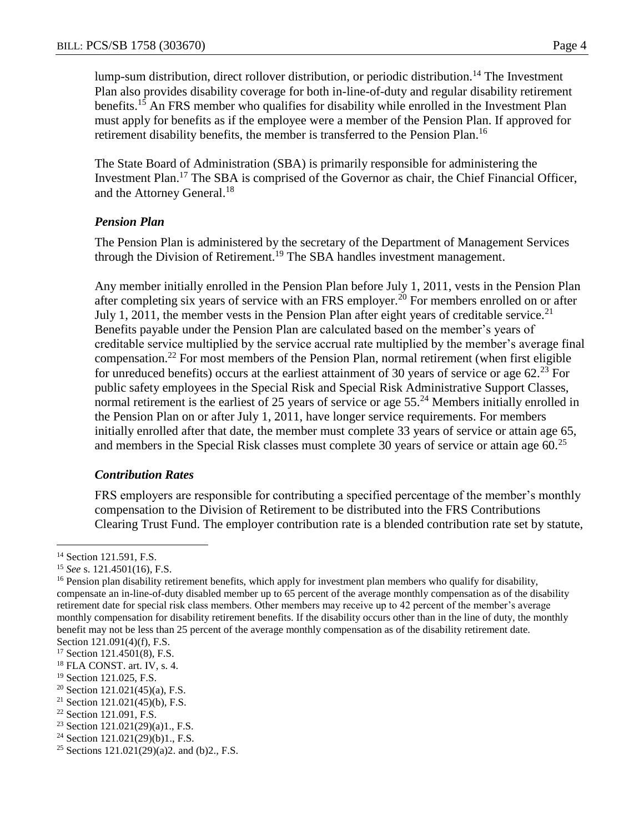lump-sum distribution, direct rollover distribution, or periodic distribution.<sup>14</sup> The Investment Plan also provides disability coverage for both in-line-of-duty and regular disability retirement benefits.<sup>15</sup> An FRS member who qualifies for disability while enrolled in the Investment Plan must apply for benefits as if the employee were a member of the Pension Plan. If approved for retirement disability benefits, the member is transferred to the Pension Plan.<sup>16</sup>

The State Board of Administration (SBA) is primarily responsible for administering the Investment Plan.<sup>17</sup> The SBA is comprised of the Governor as chair, the Chief Financial Officer, and the Attorney General.<sup>18</sup>

# *Pension Plan*

The Pension Plan is administered by the secretary of the Department of Management Services through the Division of Retirement.<sup>19</sup> The SBA handles investment management.

Any member initially enrolled in the Pension Plan before July 1, 2011, vests in the Pension Plan after completing six years of service with an FRS employer.<sup>20</sup> For members enrolled on or after July 1, 2011, the member vests in the Pension Plan after eight years of creditable service.<sup>21</sup> Benefits payable under the Pension Plan are calculated based on the member's years of creditable service multiplied by the service accrual rate multiplied by the member's average final compensation.<sup>22</sup> For most members of the Pension Plan, normal retirement (when first eligible for unreduced benefits) occurs at the earliest attainment of 30 years of service or age  $62<sup>23</sup>$  For public safety employees in the Special Risk and Special Risk Administrative Support Classes, normal retirement is the earliest of 25 years of service or age  $55.^{24}$  Members initially enrolled in the Pension Plan on or after July 1, 2011, have longer service requirements. For members initially enrolled after that date, the member must complete 33 years of service or attain age 65, and members in the Special Risk classes must complete 30 years of service or attain age  $60<sup>25</sup>$ 

# *Contribution Rates*

FRS employers are responsible for contributing a specified percentage of the member's monthly compensation to the Division of Retirement to be distributed into the FRS Contributions Clearing Trust Fund. The employer contribution rate is a blended contribution rate set by statute,

<sup>&</sup>lt;sup>14</sup> Section 121.591, F.S.

<sup>15</sup> *See* s. 121.4501(16), F.S.

<sup>&</sup>lt;sup>16</sup> Pension plan disability retirement benefits, which apply for investment plan members who qualify for disability, compensate an in-line-of-duty disabled member up to 65 percent of the average monthly compensation as of the disability retirement date for special risk class members. Other members may receive up to 42 percent of the member's average monthly compensation for disability retirement benefits. If the disability occurs other than in the line of duty, the monthly benefit may not be less than 25 percent of the average monthly compensation as of the disability retirement date. Section 121.091(4)(f), F.S.

<sup>17</sup> Section 121.4501(8), F.S.

<sup>18</sup> FLA CONST. art. IV, s. 4.

<sup>&</sup>lt;sup>19</sup> Section 121.025, F.S.

<sup>&</sup>lt;sup>20</sup> Section 121.021(45)(a), F.S.

<sup>&</sup>lt;sup>21</sup> Section 121.021(45)(b), F.S.

<sup>22</sup> Section 121.091, F.S.

<sup>23</sup> Section 121.021(29)(a)1., F.S.

<sup>&</sup>lt;sup>24</sup> Section 121.021(29)(b)1., F.S.

<sup>&</sup>lt;sup>25</sup> Sections 121.021(29)(a)2. and (b)2., F.S.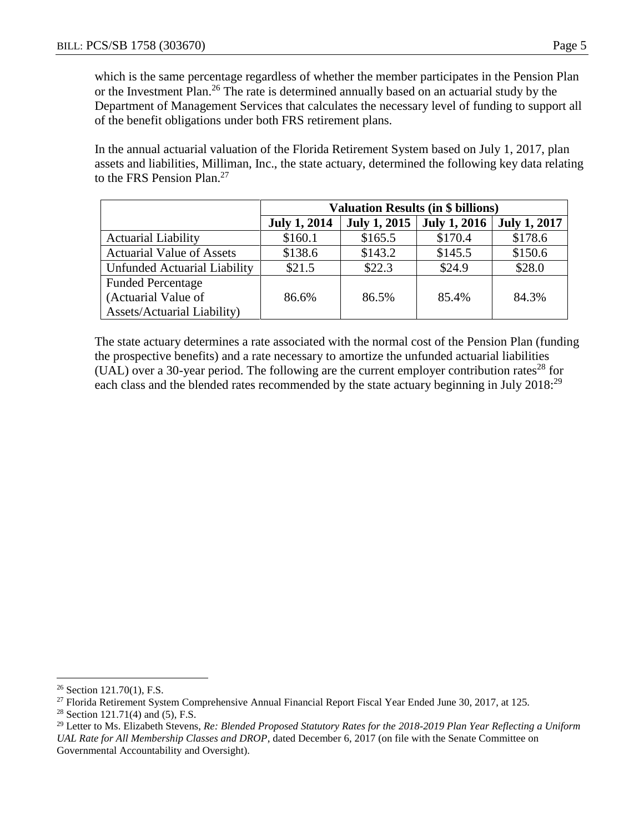which is the same percentage regardless of whether the member participates in the Pension Plan or the Investment Plan.<sup>26</sup> The rate is determined annually based on an actuarial study by the Department of Management Services that calculates the necessary level of funding to support all of the benefit obligations under both FRS retirement plans.

In the annual actuarial valuation of the Florida Retirement System based on July 1, 2017, plan assets and liabilities, Milliman, Inc., the state actuary, determined the following key data relating to the FRS Pension Plan.<sup>27</sup>

|                                    | <b>Valuation Results (in \$ billions)</b> |                     |                     |                     |  |  |
|------------------------------------|-------------------------------------------|---------------------|---------------------|---------------------|--|--|
|                                    | <b>July 1, 2014</b>                       | <b>July 1, 2015</b> | <b>July 1, 2016</b> | <b>July 1, 2017</b> |  |  |
| <b>Actuarial Liability</b>         | \$160.1                                   | \$165.5             | \$170.4             | \$178.6             |  |  |
| <b>Actuarial Value of Assets</b>   | \$138.6                                   | \$143.2             | \$145.5             | \$150.6             |  |  |
| Unfunded Actuarial Liability       | \$21.5                                    | \$22.3              | \$24.9              | \$28.0              |  |  |
| <b>Funded Percentage</b>           |                                           |                     |                     |                     |  |  |
| (Actuarial Value of                | 86.6%                                     | 86.5%               | 85.4%               | 84.3%               |  |  |
| <b>Assets/Actuarial Liability)</b> |                                           |                     |                     |                     |  |  |

The state actuary determines a rate associated with the normal cost of the Pension Plan (funding the prospective benefits) and a rate necessary to amortize the unfunded actuarial liabilities (UAL) over a 30-year period. The following are the current employer contribution rates<sup>28</sup> for each class and the blended rates recommended by the state actuary beginning in July 2018:<sup>29</sup>

 $\overline{a}$  $26$  Section 121.70(1), F.S.

<sup>&</sup>lt;sup>27</sup> Florida Retirement System Comprehensive Annual Financial Report Fiscal Year Ended June 30, 2017, at 125.

<sup>&</sup>lt;sup>28</sup> Section 121.71(4) and (5), F.S.

<sup>29</sup> Letter to Ms. Elizabeth Stevens, *Re: Blended Proposed Statutory Rates for the 2018-2019 Plan Year Reflecting a Uniform UAL Rate for All Membership Classes and DROP*, dated December 6, 2017 (on file with the Senate Committee on Governmental Accountability and Oversight).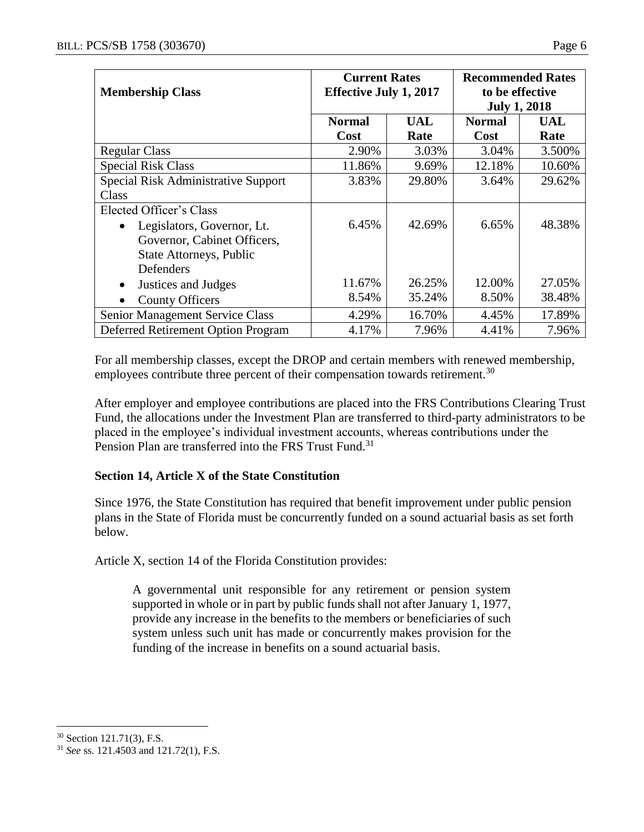| <b>Membership Class</b>             | <b>Current Rates</b><br><b>Effective July 1, 2017</b> |            | <b>Recommended Rates</b><br>to be effective |            |
|-------------------------------------|-------------------------------------------------------|------------|---------------------------------------------|------------|
|                                     |                                                       |            | <b>July 1, 2018</b>                         |            |
|                                     | <b>Normal</b>                                         | <b>UAL</b> | <b>Normal</b>                               | <b>UAL</b> |
|                                     | Cost                                                  | Rate       | Cost                                        | Rate       |
| <b>Regular Class</b>                | 2.90%                                                 | 3.03%      | 3.04%                                       | 3.500%     |
| <b>Special Risk Class</b>           | 11.86%                                                | 9.69%      | 12.18%                                      | 10.60%     |
| Special Risk Administrative Support | 3.83%                                                 | 29.80%     | 3.64%                                       | 29.62%     |
| Class                               |                                                       |            |                                             |            |
| Elected Officer's Class             |                                                       |            |                                             |            |
| Legislators, Governor, Lt.          | 6.45%                                                 | 42.69%     | 6.65%                                       | 48.38%     |
| Governor, Cabinet Officers,         |                                                       |            |                                             |            |
| State Attorneys, Public             |                                                       |            |                                             |            |
| Defenders                           |                                                       |            |                                             |            |
| Justices and Judges                 | 11.67%                                                | 26.25%     | 12.00%                                      | 27.05%     |
| <b>County Officers</b>              | 8.54%                                                 | 35.24%     | 8.50%                                       | 38.48%     |
| Senior Management Service Class     | 4.29%                                                 | 16.70%     | 4.45%                                       | 17.89%     |
| Deferred Retirement Option Program  | 4.17%                                                 | 7.96%      | 4.41%                                       | 7.96%      |

For all membership classes, except the DROP and certain members with renewed membership, employees contribute three percent of their compensation towards retirement.<sup>30</sup>

After employer and employee contributions are placed into the FRS Contributions Clearing Trust Fund, the allocations under the Investment Plan are transferred to third-party administrators to be placed in the employee's individual investment accounts, whereas contributions under the Pension Plan are transferred into the FRS Trust Fund.<sup>31</sup>

## **Section 14, Article X of the State Constitution**

Since 1976, the State Constitution has required that benefit improvement under public pension plans in the State of Florida must be concurrently funded on a sound actuarial basis as set forth below.

Article X, section 14 of the Florida Constitution provides:

A governmental unit responsible for any retirement or pension system supported in whole or in part by public funds shall not after January 1, 1977, provide any increase in the benefits to the members or beneficiaries of such system unless such unit has made or concurrently makes provision for the funding of the increase in benefits on a sound actuarial basis.

<sup>30</sup> Section 121.71(3), F.S.

<sup>31</sup> *See* ss. 121.4503 and 121.72(1), F.S.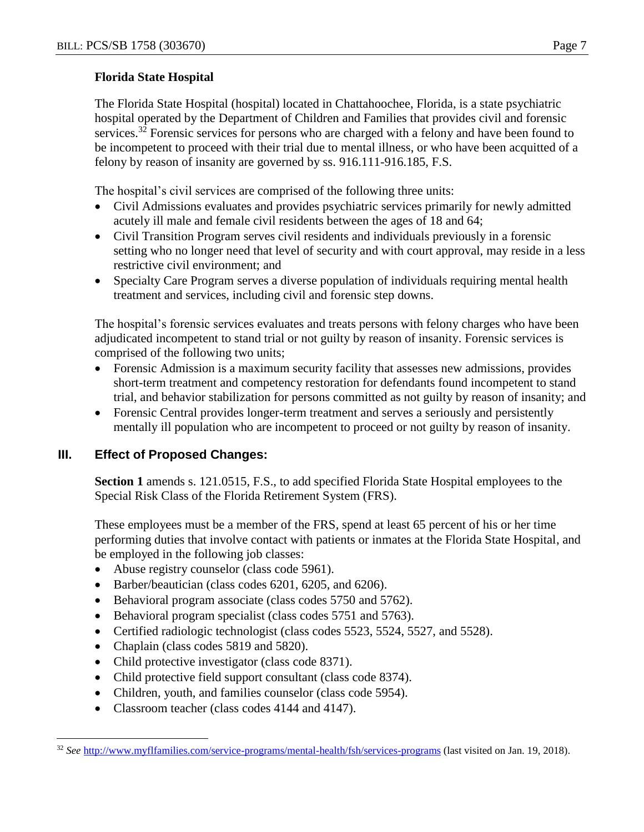## **Florida State Hospital**

The Florida State Hospital (hospital) located in Chattahoochee, Florida, is a state psychiatric hospital operated by the Department of Children and Families that provides civil and forensic services.<sup>32</sup> Forensic services for persons who are charged with a felony and have been found to be incompetent to proceed with their trial due to mental illness, or who have been acquitted of a felony by reason of insanity are governed by ss. 916.111-916.185, F.S.

The hospital's civil services are comprised of the following three units:

- Civil Admissions evaluates and provides psychiatric services primarily for newly admitted acutely ill male and female civil residents between the ages of 18 and 64;
- Civil Transition Program serves civil residents and individuals previously in a forensic setting who no longer need that level of security and with court approval, may reside in a less restrictive civil environment; and
- Specialty Care Program serves a diverse population of individuals requiring mental health treatment and services, including civil and forensic step downs.

The hospital's forensic services evaluates and treats persons with felony charges who have been adjudicated incompetent to stand trial or not guilty by reason of insanity. Forensic services is comprised of the following two units;

- Forensic Admission is a maximum security facility that assesses new admissions, provides short-term treatment and competency restoration for defendants found incompetent to stand trial, and behavior stabilization for persons committed as not guilty by reason of insanity; and
- Forensic Central provides longer-term treatment and serves a seriously and persistently mentally ill population who are incompetent to proceed or not guilty by reason of insanity.

## **III. Effect of Proposed Changes:**

**Section 1** amends s. 121.0515, F.S., to add specified Florida State Hospital employees to the Special Risk Class of the Florida Retirement System (FRS).

These employees must be a member of the FRS, spend at least 65 percent of his or her time performing duties that involve contact with patients or inmates at the Florida State Hospital, and be employed in the following job classes:

- Abuse registry counselor (class code 5961).
- Barber/beautician (class codes 6201, 6205, and 6206).
- Behavioral program associate (class codes 5750 and 5762).
- Behavioral program specialist (class codes 5751 and 5763).
- Certified radiologic technologist (class codes 5523, 5524, 5527, and 5528).
- Chaplain (class codes 5819 and 5820).

- Child protective investigator (class code 8371).
- Child protective field support consultant (class code 8374).
- Children, youth, and families counselor (class code 5954).
- Classroom teacher (class codes 4144 and 4147).

<sup>32</sup> *See* <http://www.myflfamilies.com/service-programs/mental-health/fsh/services-programs> (last visited on Jan. 19, 2018).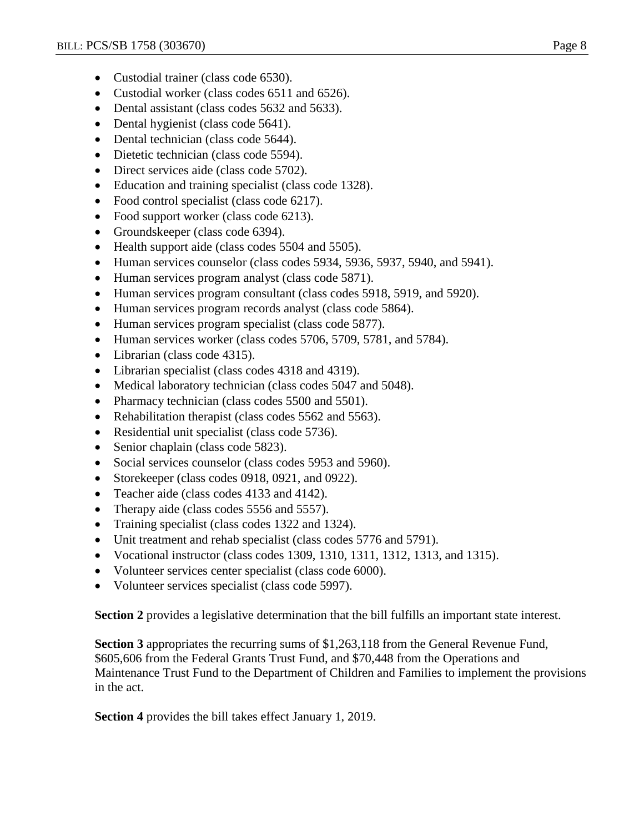- Custodial trainer (class code 6530).
- Custodial worker (class codes 6511 and 6526).
- Dental assistant (class codes 5632 and 5633).
- Dental hygienist (class code 5641).
- Dental technician (class code 5644).
- Dietetic technician (class code 5594).
- Direct services aide (class code 5702).
- Education and training specialist (class code 1328).
- Food control specialist (class code 6217).
- Food support worker (class code 6213).
- Groundskeeper (class code 6394).
- Health support aide (class codes 5504 and 5505).
- Human services counselor (class codes 5934, 5936, 5937, 5940, and 5941).
- Human services program analyst (class code 5871).
- Human services program consultant (class codes 5918, 5919, and 5920).
- Human services program records analyst (class code 5864).
- Human services program specialist (class code 5877).
- Human services worker (class codes 5706, 5709, 5781, and 5784).
- Librarian (class code 4315).
- Librarian specialist (class codes 4318 and 4319).
- Medical laboratory technician (class codes 5047 and 5048).
- Pharmacy technician (class codes 5500 and 5501).
- Rehabilitation therapist (class codes 5562 and 5563).
- Residential unit specialist (class code 5736).
- Senior chaplain (class code 5823).
- Social services counselor (class codes 5953 and 5960).
- Storekeeper (class codes 0918, 0921, and 0922).
- Teacher aide (class codes 4133 and 4142).
- Therapy aide (class codes 5556 and 5557).
- Training specialist (class codes 1322 and 1324).
- Unit treatment and rehab specialist (class codes 5776 and 5791).
- Vocational instructor (class codes 1309, 1310, 1311, 1312, 1313, and 1315).
- Volunteer services center specialist (class code 6000).
- Volunteer services specialist (class code 5997).

**Section 2** provides a legislative determination that the bill fulfills an important state interest.

**Section 3** appropriates the recurring sums of \$1,263,118 from the General Revenue Fund, \$605,606 from the Federal Grants Trust Fund, and \$70,448 from the Operations and Maintenance Trust Fund to the Department of Children and Families to implement the provisions in the act.

**Section 4** provides the bill takes effect January 1, 2019.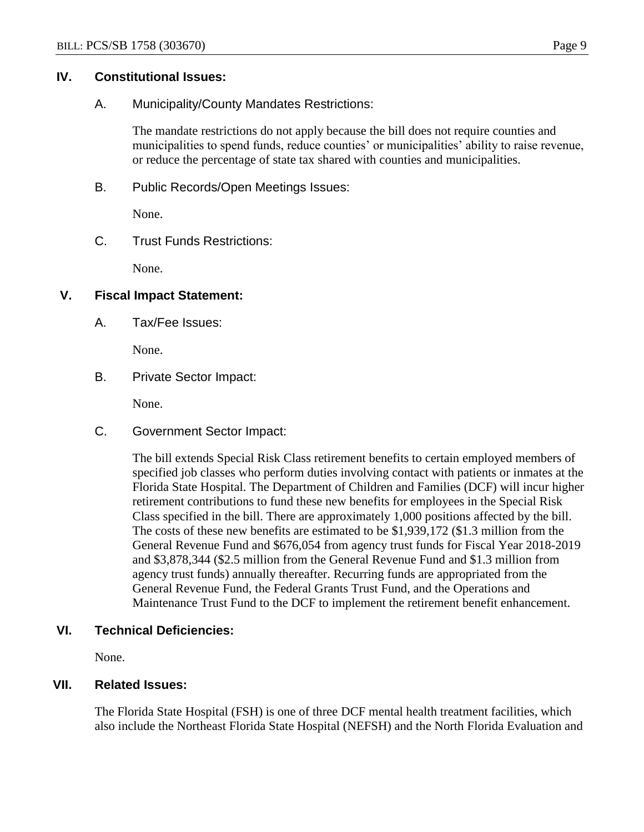#### **IV. Constitutional Issues:**

A. Municipality/County Mandates Restrictions:

The mandate restrictions do not apply because the bill does not require counties and municipalities to spend funds, reduce counties' or municipalities' ability to raise revenue, or reduce the percentage of state tax shared with counties and municipalities.

B. Public Records/Open Meetings Issues:

None.

C. Trust Funds Restrictions:

None.

## **V. Fiscal Impact Statement:**

A. Tax/Fee Issues:

None.

B. Private Sector Impact:

None.

C. Government Sector Impact:

The bill extends Special Risk Class retirement benefits to certain employed members of specified job classes who perform duties involving contact with patients or inmates at the Florida State Hospital. The Department of Children and Families (DCF) will incur higher retirement contributions to fund these new benefits for employees in the Special Risk Class specified in the bill. There are approximately 1,000 positions affected by the bill. The costs of these new benefits are estimated to be \$1,939,172 (\$1.3 million from the General Revenue Fund and \$676,054 from agency trust funds for Fiscal Year 2018-2019 and \$3,878,344 (\$2.5 million from the General Revenue Fund and \$1.3 million from agency trust funds) annually thereafter. Recurring funds are appropriated from the General Revenue Fund, the Federal Grants Trust Fund, and the Operations and Maintenance Trust Fund to the DCF to implement the retirement benefit enhancement.

## **VI. Technical Deficiencies:**

None.

# **VII. Related Issues:**

The Florida State Hospital (FSH) is one of three DCF mental health treatment facilities, which also include the Northeast Florida State Hospital (NEFSH) and the North Florida Evaluation and